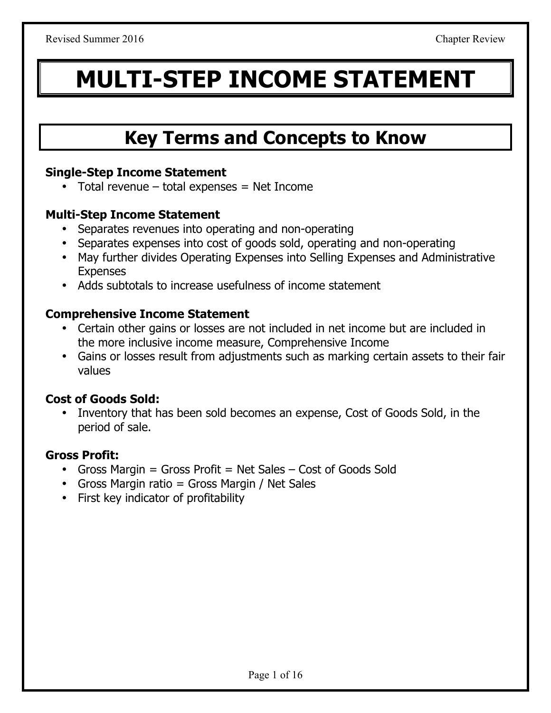# **MULTI-STEP INCOME STATEMENT**

### **Key Terms and Concepts to Know**

#### **Single-Step Income Statement**

• Total revenue  $-$  total expenses  $=$  Net Income

#### **Multi-Step Income Statement**

- Separates revenues into operating and non-operating
- Separates expenses into cost of goods sold, operating and non-operating
- May further divides Operating Expenses into Selling Expenses and Administrative **Expenses**
- Adds subtotals to increase usefulness of income statement

#### **Comprehensive Income Statement**

- Certain other gains or losses are not included in net income but are included in the more inclusive income measure, Comprehensive Income
- Gains or losses result from adjustments such as marking certain assets to their fair values

#### **Cost of Goods Sold:**

• Inventory that has been sold becomes an expense, Cost of Goods Sold, in the period of sale.

#### **Gross Profit:**

- Gross Margin = Gross Profit = Net Sales Cost of Goods Sold
- Gross Margin ratio = Gross Margin / Net Sales
- First key indicator of profitability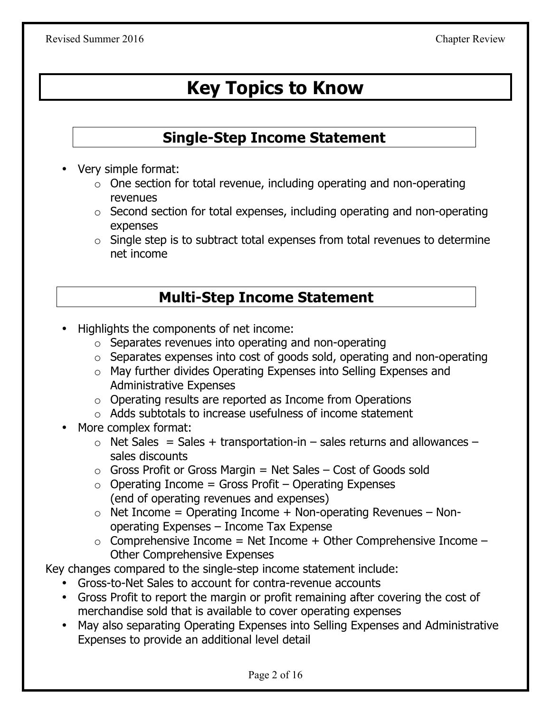## **Key Topics to Know**

#### **Single-Step Income Statement**

- Very simple format:
	- $\circ$  One section for total revenue, including operating and non-operating revenues
	- o Second section for total expenses, including operating and non-operating expenses
	- $\circ$  Single step is to subtract total expenses from total revenues to determine net income

#### **Multi-Step Income Statement**

- Highlights the components of net income:
	- o Separates revenues into operating and non-operating
	- o Separates expenses into cost of goods sold, operating and non-operating
	- o May further divides Operating Expenses into Selling Expenses and Administrative Expenses
	- o Operating results are reported as Income from Operations
	- o Adds subtotals to increase usefulness of income statement
- More complex format:
	- $\circ$  Net Sales = Sales + transportation-in sales returns and allowances sales discounts
	- $\circ$  Gross Profit or Gross Margin = Net Sales Cost of Goods sold
	- $\circ$  Operating Income = Gross Profit Operating Expenses (end of operating revenues and expenses)
	- $\circ$  Net Income = Operating Income + Non-operating Revenues Nonoperating Expenses – Income Tax Expense
	- $\circ$  Comprehensive Income = Net Income + Other Comprehensive Income  $-$ Other Comprehensive Expenses

Key changes compared to the single-step income statement include:

- Gross-to-Net Sales to account for contra-revenue accounts
- Gross Profit to report the margin or profit remaining after covering the cost of merchandise sold that is available to cover operating expenses
- May also separating Operating Expenses into Selling Expenses and Administrative Expenses to provide an additional level detail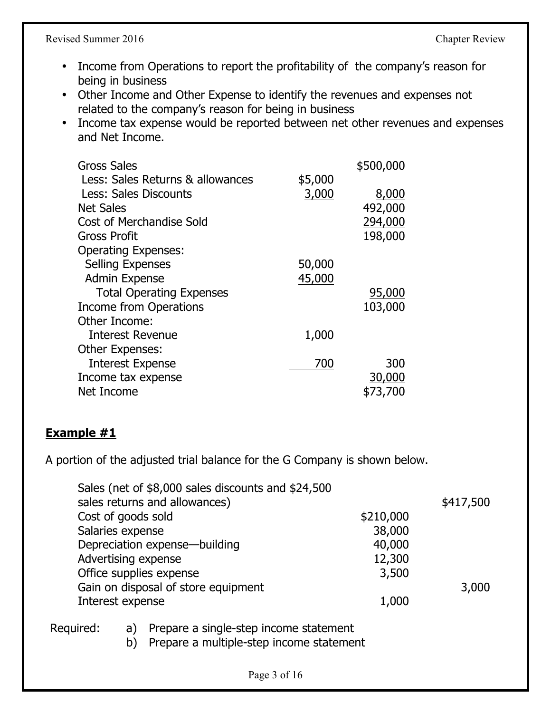Revised Summer 2016 Chapter Review

- Income from Operations to report the profitability of the company's reason for being in business
- Other Income and Other Expense to identify the revenues and expenses not related to the company's reason for being in business
- Income tax expense would be reported between net other revenues and expenses and Net Income.

| <b>Gross Sales</b>               |         | \$500,000 |
|----------------------------------|---------|-----------|
| Less: Sales Returns & allowances | \$5,000 |           |
| Less: Sales Discounts            | 3,000   | 8,000     |
| <b>Net Sales</b>                 |         | 492,000   |
| <b>Cost of Merchandise Sold</b>  |         | 294,000   |
| <b>Gross Profit</b>              |         | 198,000   |
| <b>Operating Expenses:</b>       |         |           |
| <b>Selling Expenses</b>          | 50,000  |           |
| <b>Admin Expense</b>             | 45,000  |           |
| <b>Total Operating Expenses</b>  |         | 95,000    |
| <b>Income from Operations</b>    |         | 103,000   |
| Other Income:                    |         |           |
| <b>Interest Revenue</b>          | 1,000   |           |
| Other Expenses:                  |         |           |
| <b>Interest Expense</b>          | 700     | 300       |
| Income tax expense               |         | 30,000    |
| Net Income                       |         | \$73,700  |

#### **Example #1**

A portion of the adjusted trial balance for the G Company is shown below.

|           | Sales (net of \$8,000 sales discounts and \$24,500                                             |           |           |
|-----------|------------------------------------------------------------------------------------------------|-----------|-----------|
|           | sales returns and allowances)                                                                  |           | \$417,500 |
|           | Cost of goods sold                                                                             | \$210,000 |           |
|           | Salaries expense                                                                               | 38,000    |           |
|           | Depreciation expense—building                                                                  | 40,000    |           |
|           | Advertising expense                                                                            | 12,300    |           |
|           | Office supplies expense                                                                        | 3,500     |           |
|           | Gain on disposal of store equipment                                                            |           | 3,000     |
|           | Interest expense                                                                               | 1,000     |           |
| Required: | Prepare a single-step income statement<br>a)<br>Prepare a multiple-step income statement<br>b) |           |           |
|           |                                                                                                |           |           |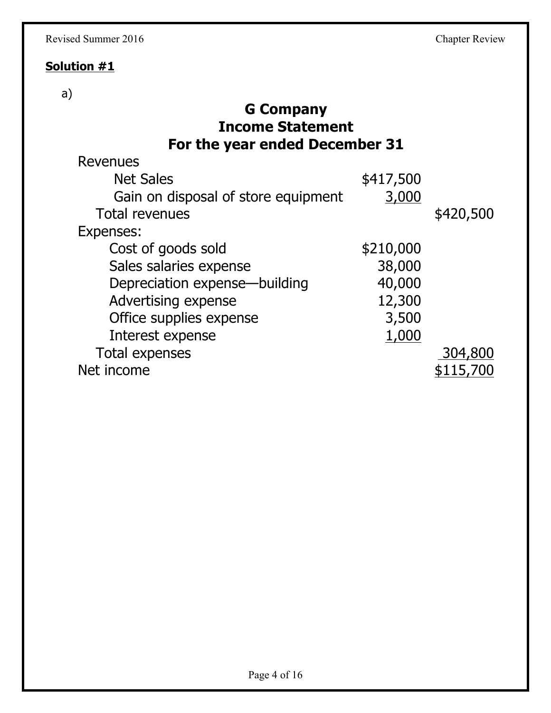#### **Solution #1**

#### a)

### **G Company Income Statement For the year ended December 31**

| Revenues                            |           |           |
|-------------------------------------|-----------|-----------|
| <b>Net Sales</b>                    | \$417,500 |           |
| Gain on disposal of store equipment | 3,000     |           |
| <b>Total revenues</b>               |           | \$420,500 |
| Expenses:                           |           |           |
| Cost of goods sold                  | \$210,000 |           |
| Sales salaries expense              | 38,000    |           |
| Depreciation expense—building       | 40,000    |           |
| Advertising expense                 | 12,300    |           |
| Office supplies expense             | 3,500     |           |
| Interest expense                    | 1,000     |           |
| <b>Total expenses</b>               |           | 304,800   |
| Net income                          |           | \$115,700 |
|                                     |           |           |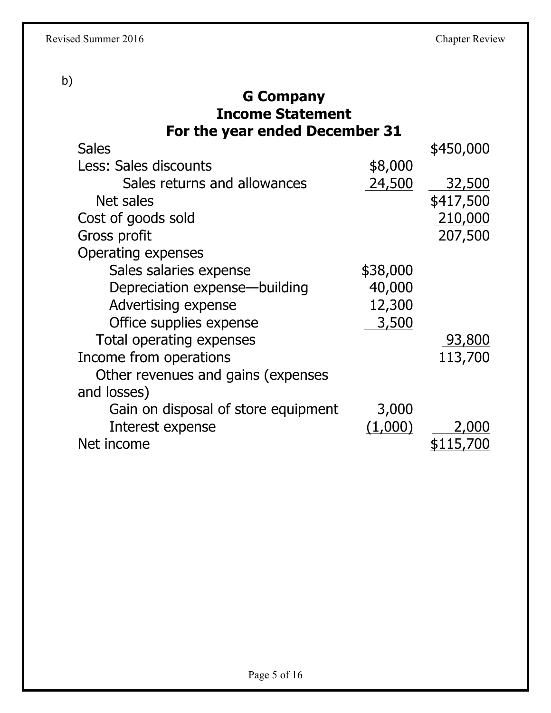b)

| <b>G Company</b><br><b>Income Statement</b> |          |               |
|---------------------------------------------|----------|---------------|
| For the year ended December 31              |          |               |
| <b>Sales</b>                                |          | \$450,000     |
| Less: Sales discounts                       | \$8,000  |               |
| Sales returns and allowances                | 24,500   | <u>32,500</u> |
| Net sales                                   |          | \$417,500     |
| Cost of goods sold                          |          | 210,000       |
| Gross profit                                |          | 207,500       |
| Operating expenses                          |          |               |
| Sales salaries expense                      | \$38,000 |               |
| Depreciation expense—building               | 40,000   |               |
| Advertising expense                         | 12,300   |               |
| Office supplies expense                     | 3,500    |               |
| Total operating expenses                    |          | 93,800        |
| Income from operations                      |          | 113,700       |
| Other revenues and gains (expenses          |          |               |
| and losses)                                 |          |               |
| Gain on disposal of store equipment         | 3,000    |               |
| Interest expense                            | (1,000)  | 2,000         |
| Net income                                  |          | \$115,700     |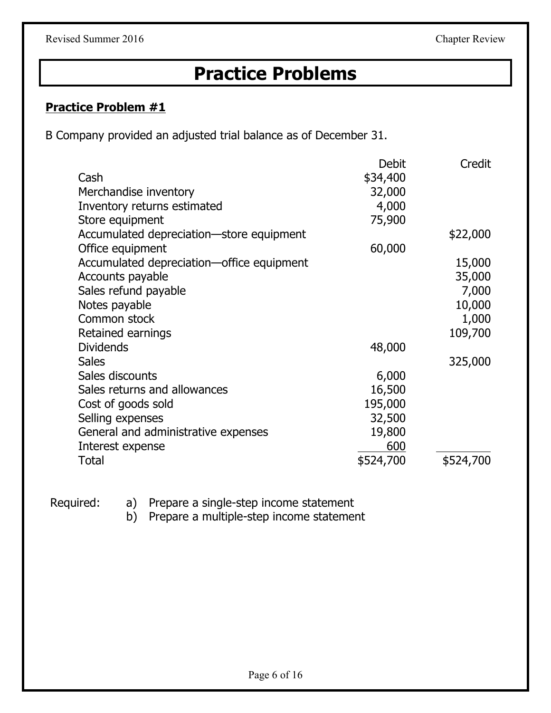### **Practice Problems**

#### **Practice Problem #1**

B Company provided an adjusted trial balance as of December 31.

| Cash<br>Merchandise inventory             | <b>Debit</b><br>\$34,400<br>32,000 | Credit    |
|-------------------------------------------|------------------------------------|-----------|
| Inventory returns estimated               | 4,000                              |           |
| Store equipment                           | 75,900                             |           |
| Accumulated depreciation-store equipment  |                                    | \$22,000  |
| Office equipment                          | 60,000                             |           |
| Accumulated depreciation-office equipment |                                    | 15,000    |
| Accounts payable                          |                                    | 35,000    |
| Sales refund payable                      |                                    | 7,000     |
| Notes payable                             |                                    | 10,000    |
| Common stock                              |                                    | 1,000     |
| Retained earnings                         |                                    | 109,700   |
| <b>Dividends</b>                          | 48,000                             |           |
| <b>Sales</b>                              |                                    | 325,000   |
| Sales discounts                           | 6,000                              |           |
| Sales returns and allowances              | 16,500                             |           |
| Cost of goods sold                        | 195,000                            |           |
| Selling expenses                          | 32,500                             |           |
| General and administrative expenses       | 19,800                             |           |
| Interest expense                          | 600                                |           |
| Total                                     | \$524,700                          | \$524,700 |

Required: a) Prepare a single-step income statement

b) Prepare a multiple-step income statement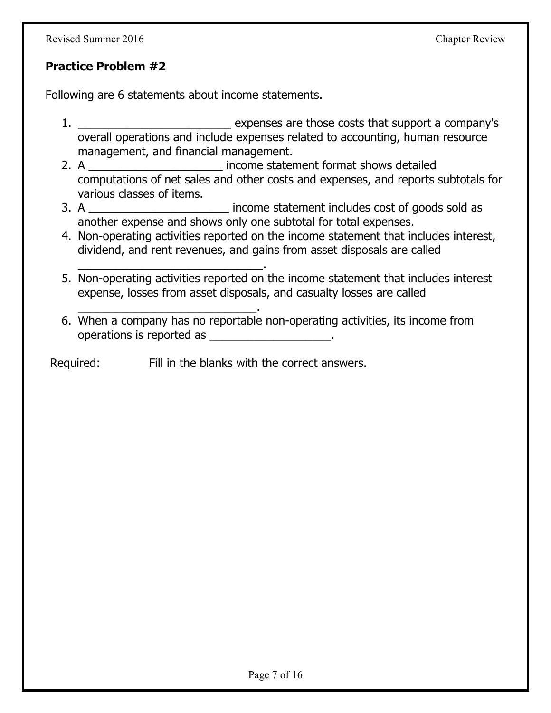#### **Practice Problem #2**

Following are 6 statements about income statements.

\_\_\_\_\_\_\_\_\_\_\_\_\_\_\_\_\_\_\_\_\_\_\_\_\_\_\_\_\_.

- 1. \_\_\_\_\_\_\_\_\_\_\_\_\_\_\_\_\_\_\_\_\_\_\_\_ expenses are those costs that support a company's overall operations and include expenses related to accounting, human resource management, and financial management.
- 2. A **Example 2.** A come statement format shows detailed computations of net sales and other costs and expenses, and reports subtotals for various classes of items.
- 3. A **Example 2.** income statement includes cost of goods sold as another expense and shows only one subtotal for total expenses.
- 4. Non-operating activities reported on the income statement that includes interest, dividend, and rent revenues, and gains from asset disposals are called
- 5. Non-operating activities reported on the income statement that includes interest expense, losses from asset disposals, and casualty losses are called
- \_\_\_\_\_\_\_\_\_\_\_\_\_\_\_\_\_\_\_\_\_\_\_\_\_\_\_\_. 6. When a company has no reportable non-operating activities, its income from operations is reported as  $\blacksquare$

Required: Fill in the blanks with the correct answers.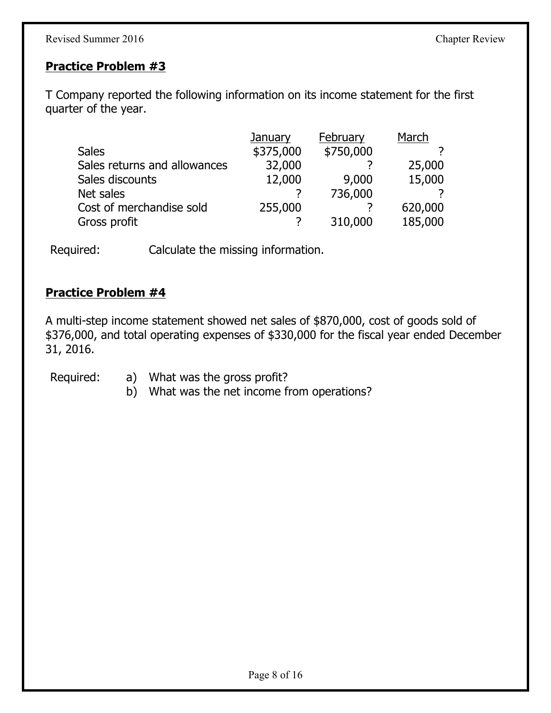#### **Practice Problem #3**

T Company reported the following information on its income statement for the first quarter of the year.

|                              | January   | February  | March   |
|------------------------------|-----------|-----------|---------|
| <b>Sales</b>                 | \$375,000 | \$750,000 |         |
| Sales returns and allowances | 32,000    |           | 25,000  |
| Sales discounts              | 12,000    | 9,000     | 15,000  |
| Net sales                    |           | 736,000   |         |
| Cost of merchandise sold     | 255,000   |           | 620,000 |
| Gross profit                 |           | 310,000   | 185,000 |

Required: Calculate the missing information.

#### **Practice Problem #4**

A multi-step income statement showed net sales of \$870,000, cost of goods sold of \$376,000, and total operating expenses of \$330,000 for the fiscal year ended December 31, 2016.

- Required: a) What was the gross profit?
	- b) What was the net income from operations?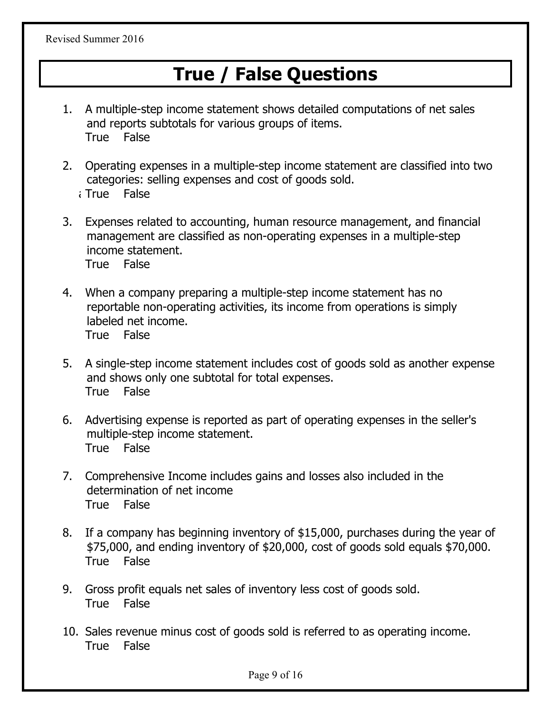Revised Summer 2016

### **True / False Questions**

- 1. A multiple-step income statement shows detailed computations of net sales and reports subtotals for various groups of items. True False
- 2. Operating expenses in a multiple-step income statement are classified into two categories: selling expenses and cost of goods sold.
	- a)True False
- 3. Expenses related to accounting, human resource management, and financial management are classified as non-operating expenses in a multiple-step income statement. True False
- 4. When a company preparing a multiple-step income statement has no reportable non-operating activities, its income from operations is simply labeled net income. True False
- 5. A single-step income statement includes cost of goods sold as another expense and shows only one subtotal for total expenses. True False
- 6. Advertising expense is reported as part of operating expenses in the seller's multiple-step income statement. True False
- 7. Comprehensive Income includes gains and losses also included in the determination of net income True False
- 8. If a company has beginning inventory of \$15,000, purchases during the year of \$75,000, and ending inventory of \$20,000, cost of goods sold equals \$70,000. True False
- 9. Gross profit equals net sales of inventory less cost of goods sold. True False
- 10. Sales revenue minus cost of goods sold is referred to as operating income. True False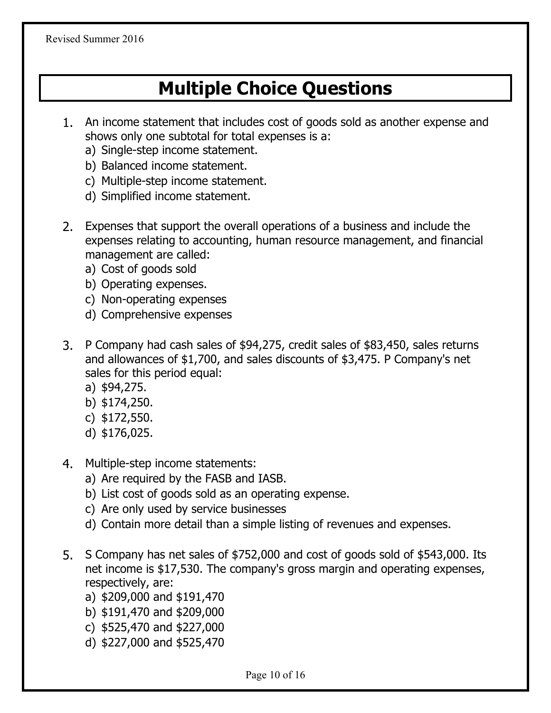### **Multiple Choice Questions**

- 1. An income statement that includes cost of goods sold as another expense and shows only one subtotal for total expenses is a:
	- a) Single-step income statement.
	- b) Balanced income statement.
	- c) Multiple-step income statement.
	- d) Simplified income statement.
- 2. Expenses that support the overall operations of a business and include the expenses relating to accounting, human resource management, and financial management are called:
	- a) Cost of goods sold
	- b) Operating expenses.
	- c) Non-operating expenses
	- d) Comprehensive expenses
- 3. P Company had cash sales of \$94,275, credit sales of \$83,450, sales returns and allowances of \$1,700, and sales discounts of \$3,475. P Company's net sales for this period equal:
	- a) \$94,275.
	- b) \$174,250.
	- c) \$172,550.
	- d) \$176,025.
- 4. Multiple-step income statements:
	- a) Are required by the FASB and IASB.
	- b) List cost of goods sold as an operating expense.
	- c) Are only used by service businesses
	- d) Contain more detail than a simple listing of revenues and expenses.
- 5. S Company has net sales of \$752,000 and cost of goods sold of \$543,000. Its net income is \$17,530. The company's gross margin and operating expenses, respectively, are:
	- a) \$209,000 and \$191,470
	- b) \$191,470 and \$209,000
	- c) \$525,470 and \$227,000
	- d) \$227,000 and \$525,470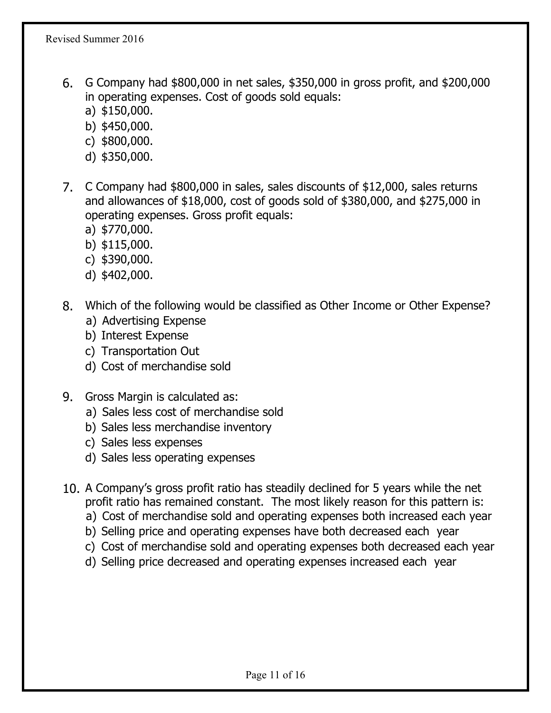- 6. G Company had \$800,000 in net sales, \$350,000 in gross profit, and \$200,000 in operating expenses. Cost of goods sold equals:
	- a) \$150,000.
	- b) \$450,000.
	- c) \$800,000.
	- d) \$350,000.
- 7. C Company had \$800,000 in sales, sales discounts of \$12,000, sales returns and allowances of \$18,000, cost of goods sold of \$380,000, and \$275,000 in operating expenses. Gross profit equals:
	- a) \$770,000.
	- b) \$115,000.
	- c) \$390,000.
	- d) \$402,000.
- 8. Which of the following would be classified as Other Income or Other Expense?
	- a) Advertising Expense
	- b) Interest Expense
	- c) Transportation Out
	- d) Cost of merchandise sold
- 9. Gross Margin is calculated as:
	- a) Sales less cost of merchandise sold
	- b) Sales less merchandise inventory
	- c) Sales less expenses
	- d) Sales less operating expenses
- 10. A Company's gross profit ratio has steadily declined for 5 years while the net profit ratio has remained constant. The most likely reason for this pattern is:
	- a) Cost of merchandise sold and operating expenses both increased each year
	- b) Selling price and operating expenses have both decreased each year
	- c) Cost of merchandise sold and operating expenses both decreased each year
	- d) Selling price decreased and operating expenses increased each year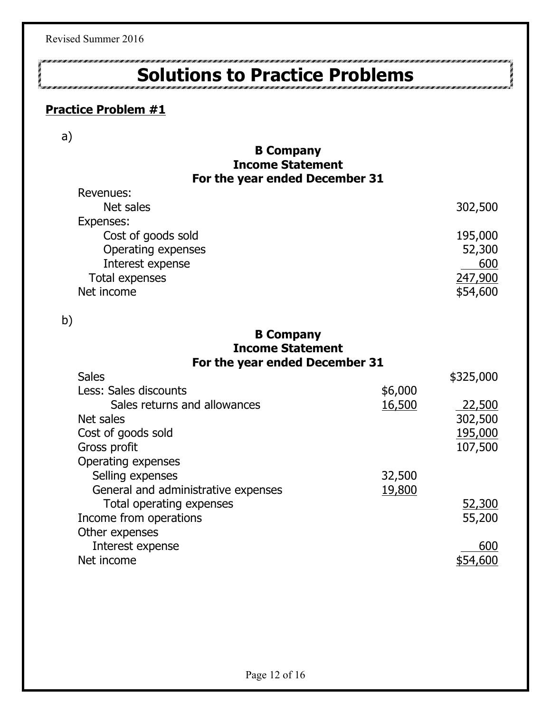Revised Summer 2016

## **Solutions to Practice Problems**

#### **Practice Problem #1**

a)

#### **B Company Income Statement For the year ended December 31**

| Revenues:          |          |
|--------------------|----------|
| Net sales          | 302,500  |
| Expenses:          |          |
| Cost of goods sold | 195,000  |
| Operating expenses | 52,300   |
| Interest expense   | 600      |
| Total expenses     | 247,900  |
| Net income         | \$54,600 |

b)

#### **B Company Income Statement For the year ended December 31**

| <b>Sales</b>                        |         | \$325,000 |
|-------------------------------------|---------|-----------|
| Less: Sales discounts               | \$6,000 |           |
| Sales returns and allowances        | 16,500  | 22,500    |
| Net sales                           |         | 302,500   |
| Cost of goods sold                  |         | 195,000   |
| Gross profit                        |         | 107,500   |
| Operating expenses                  |         |           |
| Selling expenses                    | 32,500  |           |
| General and administrative expenses | 19,800  |           |
| Total operating expenses            |         | 52,300    |
| Income from operations              |         | 55,200    |
| Other expenses                      |         |           |
| Interest expense                    |         | 600       |
| Net income                          |         |           |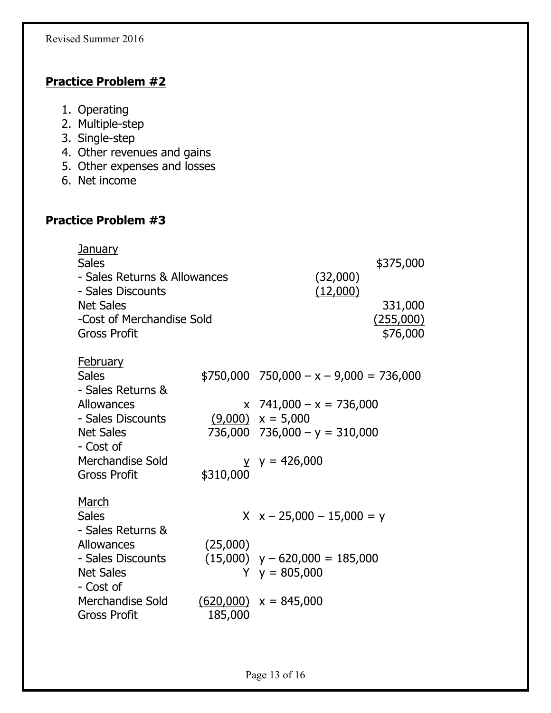#### **Practice Problem #2**

- 1. Operating
- 2. Multiple-step
- 3. Single-step
- 4. Other revenues and gains
- 5. Other expenses and losses
- 6. Net income

#### **Practice Problem #3**

| January<br><b>Sales</b><br>- Sales Returns & Allowances<br>- Sales Discounts<br><b>Net Sales</b><br>-Cost of Merchandise Sold<br><b>Gross Profit</b> |           | (32,000)<br>(12,000)                                  | \$375,000<br>331,000<br>(255,000)<br>\$76,000 |
|------------------------------------------------------------------------------------------------------------------------------------------------------|-----------|-------------------------------------------------------|-----------------------------------------------|
|                                                                                                                                                      |           |                                                       |                                               |
| <b>February</b><br><b>Sales</b><br>- Sales Returns &                                                                                                 |           | $$750,000$ $750,000 - x - 9,000 = 736,000$            |                                               |
| Allowances                                                                                                                                           |           | $x$ 741,000 – $x = 736,000$                           |                                               |
| - Sales Discounts                                                                                                                                    |           | $(9,000)$ $x = 5,000$                                 |                                               |
| <b>Net Sales</b><br>- Cost of                                                                                                                        |           | $736,000$ $736,000 - y = 310,000$                     |                                               |
| Merchandise Sold<br><b>Gross Profit</b>                                                                                                              | \$310,000 | $y \ y = 426,000$                                     |                                               |
| March<br><b>Sales</b><br>- Sales Returns &                                                                                                           |           | $X \times -25,000 - 15,000 = y$                       |                                               |
| Allowances                                                                                                                                           | (25,000)  |                                                       |                                               |
| - Sales Discounts<br><b>Net Sales</b><br>- Cost of                                                                                                   |           | $(15,000)$ y - 620,000 = 185,000<br>$Y \ y = 805,000$ |                                               |
| Merchandise Sold<br><b>Gross Profit</b>                                                                                                              | 185,000   | $(620,000)$ x = 845,000                               |                                               |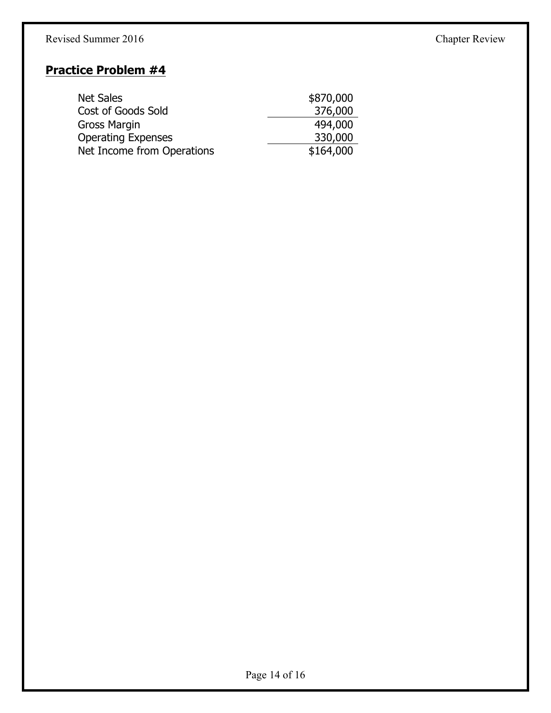#### Revised Summer 2016 Chapter Review

#### **Practice Problem #4**

| <b>Net Sales</b>           | \$870,000 |
|----------------------------|-----------|
| Cost of Goods Sold         | 376,000   |
| Gross Margin               | 494,000   |
| <b>Operating Expenses</b>  | 330,000   |
| Net Income from Operations | \$164,000 |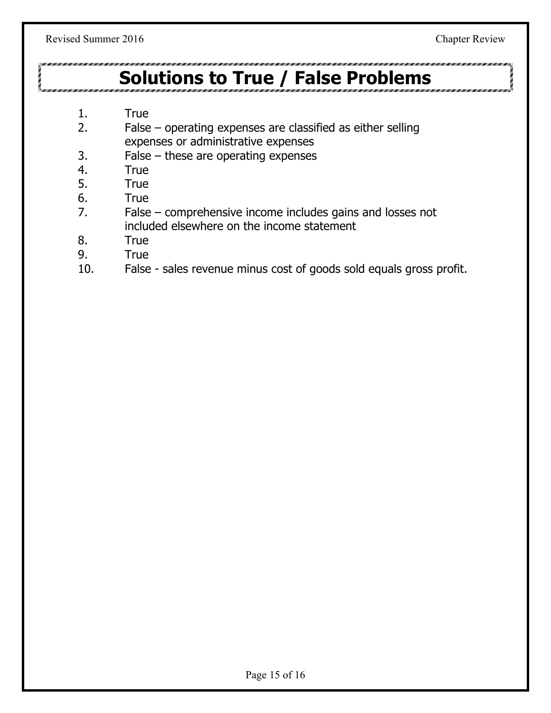### **Solutions to True / False Problems**

- 1. True
- 2. False operating expenses are classified as either selling expenses or administrative expenses
- 3. False these are operating expenses
- 4. True
- 5. True
- 6. True
- 7. False comprehensive income includes gains and losses not included elsewhere on the income statement
- 8. True
- 9. True
- 10. False sales revenue minus cost of goods sold equals gross profit.